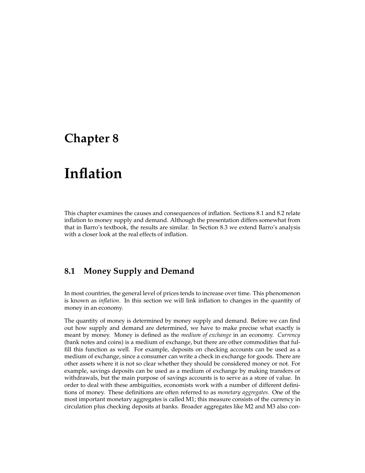## **Chapter 8**

# **Inflation**

This chapter examines the causes and consequences of inflation. Sections 8.1 and 8.2 relate inflation to money supply and demand. Although the presentation differs somewhat from that in Barro's textbook, the results are similar. In Section 8.3 we extend Barro's analysis with a closer look at the real effects of inflation.

## **8.1 Money Supply and Demand**

In most countries, the general level of prices tends to increase over time. This phenomenon is known as *inflation*. In this section we will link inflation to changes in the quantity of money in an economy.

The quantity of money is determined by money supply and demand. Before we can find out how supply and demand are determined, we have to make precise what exactly is meant by money. Money is defined as the *medium of exchange* in an economy. *Currency* (bank notes and coins) is a medium of exchange, but there are other commodities that fulfill this function as well. For example, deposits on checking accounts can be used as a medium of exchange, since a consumer can write a check in exchange for goods. There are other assets where it is not so clear whether they should be considered money or not. For example, savings deposits can be used as a medium of exchange by making transfers or withdrawals, but the main purpose of savings accounts is to serve as a store of value. In order to deal with these ambiguities, economists work with a number of different definitions of money. These definitions are often referred to as *monetary aggregates*. One of the most important monetary aggregates is called M1; this measure consists of the currency in circulation plus checking deposits at banks. Broader aggregates like M2 and M3 also con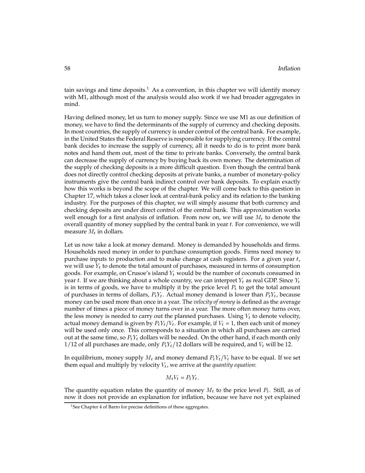tain savings and time deposits.<sup>1</sup> As a convention, in this chapter we will identify money with M1, although most of the analysis would also work if we had broader aggregates in mind.

Having defined money, let us turn to money supply. Since we use M1 as our definition of money, we have to find the determinants of the supply of currency and checking deposits. In most countries, the supply of currency is under control of the central bank. For example, in the United States the Federal Reserve is responsible for supplying currency. If the central bank decides to increase the supply of currency, all it needs to do is to print more bank notes and hand them out, most of the time to private banks. Conversely, the central bank can decrease the supply of currency by buying back its own money. The determination of the supply of checking deposits is a more difficult question. Even though the central bank does not directly control checking deposits at private banks, a number of monetary-policy instruments give the central bank indirect control over bank deposits. To explain exactly how this works is beyond the scope of the chapter. We will come back to this question in Chapter 17, which takes a closer look at central-bank policy and its relation to the banking industry. For the purposes of this chapter, we will simply assume that both currency and checking deposits are under direct control of the central bank. This approximation works well enough for a first analysis of inflation. From now on, we will use  $M_t$  to denote the overall quantity of money supplied by the central bank in year  $t$ . For convenience, we will measure  $M_t$  in dollars.

Let us now take a look at money demand. Money is demanded by households and firms. Households need money in order to purchase consumption goods. Firms need money to purchase inputs to production and to make change at cash registers. For a given year <sup>t</sup>, we will use  $Y_t$  to denote the total amount of purchases, measured in terms of consumption goods. For example, on Crusoe's island  $Y_t$  would be the number of coconuts consumed in year t. If we are thinking about a whole country, we can interpret  $Y_t$  as real GDP. Since  $Y_t$ is in terms of goods, we have to multiply it by the price level  $P_t$  to get the total amount of purchases in terms of dollars,  $P_tY_t$ . Actual money demand is lower than  $P_tY_t$ , because money can be used more than once in a year. The *velocity of money* is defined as the average number of times a piece of money turns over in a year. The more often money turns over, the less money is needed to carry out the planned purchases. Using  $V_t$  to denote velocity, actual money demand is given by  $P_tY_t/V_t$ . For example, if  $V_t = 1$ , then each unit of money will be used only once. This corresponds to a situation in which all purchases are carried out at the same time, so  $P_tY_t$  dollars will be needed. On the other hand, if each month only 1/12 of all purchases are made, only  $P_tY_t/12$  dollars will be required, and  $V_t$  will be 12.

In equilibrium, money supply  $M_t$  and money demand  $P_tY_t/V_t$  have to be equal. If we set them equal and multiply by velocity  $V_t$ , we arrive at the *quantity equation*:

$$
M_t V_t = P_t Y_t
$$

The quantity equation relates the quantity of money  $M_t$  to the price level  $P_t$ . Still, as of now it does not provide an explanation for inflation, because we have not yet explained

<sup>&</sup>lt;sup>1</sup>See Chapter 4 of Barro for precise definitions of these aggregates.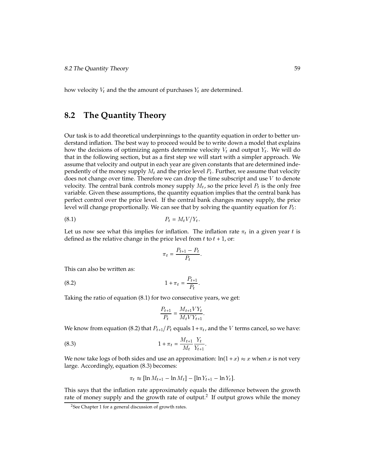how velocity  $V_t$  and the the amount of purchases  $Y_t$  are determined.

## **8.2 The Quantity Theory**

Our task is to add theoretical underpinnings to the quantity equation in order to better understand inflation. The best way to proceed would be to write down a model that explains how the decisions of optimizing agents determine velocity  $V_t$  and output  $Y_t$ . We will do that in the following section, but as a first step we will start with a simpler approach. We assume that velocity and output in each year are given constants that are determined independently of the money supply  $M_t$  and the price level  $P_t$ . Further, we assume that velocity does not change over time. Therefore we can drop the time subscript and use  $V$  to denote velocity. The central bank controls money supply  $M_t$ , so the price level  $P_t$  is the only free variable. Given these assumptions, the quantity equation implies that the central bank has perfect control over the price level. If the central bank changes money supply, the price level will change proportionally. We can see that by solving the quantity equation for  $P_t$ :

$$
(8.1) \t\t\t P_t = M_t V / Y_t.
$$

Let us now see what this implies for inflation. The inflation rate  $\pi_t$  in a given year t is defined as the relative change in the price level from  $t$  to  $t + 1$ , or:

$$
\pi_t = \frac{P_{t+1} - P_t}{P_t}.
$$

This can also be written as:

(8.2) 
$$
1 + \pi_t = \frac{P_{t+1}}{P_t}.
$$

Taking the ratio of equation (8.1) for two consecutive years, we get:

$$
\frac{P_{t+1}}{P_t} = \frac{M_{t+1}VY_t}{M_t V Y_{t+1}}.
$$

We know from equation (8.2) that  $P_{t+1}/P_t$  equals  $1+\pi_t$ , and the V terms cancel, so we have:

(8.3) 
$$
1 + \pi_t = \frac{M_{t+1}}{M_t} \frac{Y_t}{Y_{t+1}}.
$$

We now take logs of both sides and use an approximation:  $ln(1+x) \approx x$  when x is not very large. Accordingly, equation (8.3) becomes:

$$
\pi_t \approx [\ln M_{t+1} - \ln M_t] - [\ln Y_{t+1} - \ln Y_t].
$$

This says that the inflation rate approximately equals the difference between the growth rate of money supply and the growth rate of output.<sup>2</sup> If output grows while the money

<sup>&</sup>lt;sup>2</sup>See Chapter 1 for a general discussion of growth rates.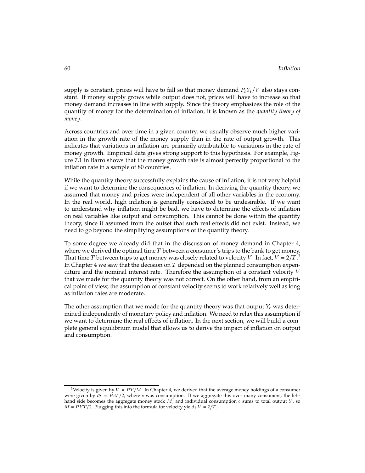supply is constant, prices will have to fall so that money demand  $P_tY_t/V$  also stays constant. If money supply grows while output does not, prices will have to increase so that money demand increases in line with supply. Since the theory emphasizes the role of the quantity of money for the determination of inflation, it is known as the *quantity theory of money*.

Across countries and over time in a given country, we usually observe much higher variation in the growth rate of the money supply than in the rate of output growth. This indicates that variations in inflation are primarily attributable to variations in the rate of money growth. Empirical data gives strong support to this hypothesis. For example, Figure 7.1 in Barro shows that the money growth rate is almost perfectly proportional to the inflation rate in a sample of 80 countries.

While the quantity theory successfully explains the cause of inflation, it is not very helpful if we want to determine the consequences of inflation. In deriving the quantity theory, we assumed that money and prices were independent of all other variables in the economy. In the real world, high inflation is generally considered to be undesirable. If we want to understand why inflation might be bad, we have to determine the effects of inflation on real variables like output and consumption. This cannot be done within the quantity theory, since it assumed from the outset that such real effects did not exist. Instead, we need to go beyond the simplifying assumptions of the quantity theory.

To some degree we already did that in the discussion of money demand in Chapter 4, where we derived the optimal time T between a consumer's trips to the bank to get money. That time  $T$  between trips to get money was closely related to velocity  $V$  . In fact,  $V = 2/T$  . $^3$ In Chapter 4 we saw that the decision on  $T$  depended on the planned consumption expenditure and the nominal interest rate. Therefore the assumption of a constant velocity  $V$ that we made for the quantity theory was not correct. On the other hand, from an empirical point of view, the assumption of constant velocity seems to work relatively well as long as inflation rates are moderate.

The other assumption that we made for the quantity theory was that output  $Y_t$  was determined independently of monetary policy and inflation. We need to relax this assumption if we want to determine the real effects of inflation. In the next section, we will build a complete general equilibrium model that allows us to derive the impact of inflation on output and consumption.

<sup>&</sup>lt;sup>3</sup>Velocity is given by  $V = PY/M$ . In Chapter 4, we derived that the average money holdings of a consumer were given by  $\bar{m} = P cT/2$ , where c was consumption. If we aggregate this over many consumers, the lefthand side becomes the aggregate money stock  $M$ , and individual consumption  $c$  sums to total output  $Y$ , so  $M = PYT/2$ . Plugging this into the formula for velocity yields  $V = 2/T$ .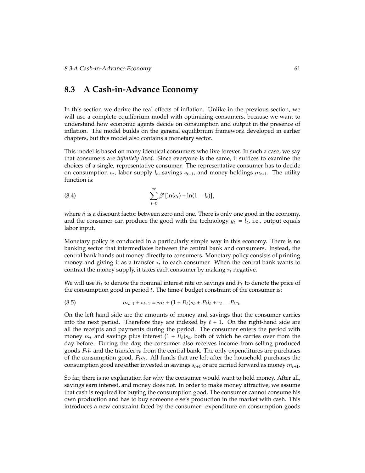## **8.3 A Cash-in-Advance Economy**

In this section we derive the real effects of inflation. Unlike in the previous section, we will use a complete equilibrium model with optimizing consumers, because we want to understand how economic agents decide on consumption and output in the presence of inflation. The model builds on the general equilibrium framework developed in earlier chapters, but this model also contains a monetary sector.

This model is based on many identical consumers who live forever. In such a case, we say that consumers are *infinitely lived*. Since everyone is the same, it suffices to examine the choices of a single, representative consumer. The representative consumer has to decide on consumption  $c_t$ , labor supply  $l_t$ , savings  $s_{t+1}$ , and money holdings  $m_{t+1}$ . The utility function is:

(8.4) 
$$
\sum_{t=0}^{\infty} \beta^{t} [\ln(c_{t}) + \ln(1 - l_{t})],
$$

where  $\beta$  is a discount factor between zero and one. There is only one good in the economy, and the consumer can produce the good with the technology  $y_t = l_t$ , i.e., output equals labor input.

Monetary policy is conducted in a particularly simple way in this economy. There is no banking sector that intermediates between the central bank and consumers. Instead, the central bank hands out money directly to consumers. Monetary policy consists of printing money and giving it as a transfer  $\tau_t$  to each consumer. When the central bank wants to contract the money supply, it taxes each consumer by making  $\tau_t$  negative.

We will use  $R_t$  to denote the nominal interest rate on savings and  $P_t$  to denote the price of the consumption good in period  $t$ . The time- $t$  budget constraint of the consumer is:

(8.5) 
$$
m_{t+1} + s_{t+1} = m_t + (1 + R_t)s_t + P_t l_t + \tau_t - P_t c_t.
$$

On the left-hand side are the amounts of money and savings that the consumer carries into the next period. Therefore they are indexed by  $t + 1$ . On the right-hand side are all the receipts and payments during the period. The consumer enters the period with money  $m_t$  and savings plus interest  $(1 + R_t) s_t$ , both of which he carries over from the day before. During the day, the consumer also receives income from selling produced goods  $P_t l_t$  and the transfer  $\tau_t$  from the central bank. The only expenditures are purchases of the consumption good,  $P_t c_t$ . All funds that are left after the household purchases the consumption good are either invested in savings  $s_{t+1}$  or are carried forward as money  $m_{t+1}$ .

So far, there is no explanation for why the consumer would want to hold money. After all, savings earn interest, and money does not. In order to make money attractive, we assume that cash is required for buying the consumption good. The consumer cannot consume his own production and has to buy someone else's production in the market with cash. This introduces a new constraint faced by the consumer: expenditure on consumption goods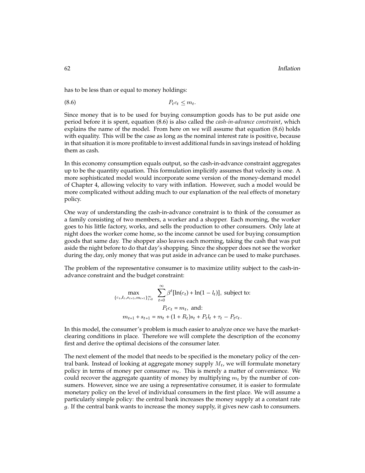has to be less than or equal to money holdings:

$$
(8.6) \t\t\t P_t c_t \leq m_t.
$$

Since money that is to be used for buying consumption goods has to be put aside one period before it is spent, equation (8.6) is also called the *cash-in-advance constraint*, which explains the name of the model. From here on we will assume that equation (8.6) holds with equality. This will be the case as long as the nominal interest rate is positive, because in that situation it is more profitable to invest additional funds in savings instead of holding them as cash.

In this economy consumption equals output, so the cash-in-advance constraint aggregates up to be the quantity equation. This formulation implicitly assumes that velocity is one. A more sophisticated model would incorporate some version of the money-demand model of Chapter 4, allowing velocity to vary with inflation. However, such a model would be more complicated without adding much to our explanation of the real effects of monetary policy.

One way of understanding the cash-in-advance constraint is to think of the consumer as a family consisting of two members, a worker and a shopper. Each morning, the worker goes to his little factory, works, and sells the production to other consumers. Only late at night does the worker come home, so the income cannot be used for buying consumption goods that same day. The shopper also leaves each morning, taking the cash that was put aside the night before to do that day's shopping. Since the shopper does not see the worker during the day, only money that was put aside in advance can be used to make purchases.

The problem of the representative consumer is to maximize utility subject to the cash-inadvance constraint and the budget constraint:

$$
\max_{\{c_t, l_t, s_{t+1}, m_{t+1}\}_{t=0}^{\infty}} \sum_{t=0}^{\infty} \beta^t [\ln(c_t) + \ln(1 - l_t)], \text{ subject to:}
$$
\n
$$
P_t c_t = m_t, \text{ and:}
$$
\n
$$
m_{t+1} + s_{t+1} = m_t + (1 + R_t)s_t + P_t l_t + \tau_t - P_t c_t.
$$

In this model, the consumer's problem is much easier to analyze once we have the marketclearing conditions in place. Therefore we will complete the description of the economy first and derive the optimal decisions of the consumer later.

The next element of the model that needs to be specified is the monetary policy of the central bank. Instead of looking at aggregate money supply  $M_t$ , we will formulate monetary policy in terms of money per consumer  $m_t$ . This is merely a matter of convenience. We could recover the aggregate quantity of money by multiplying  $m_t$  by the number of consumers. However, since we are using a representative consumer, it is easier to formulate monetary policy on the level of individual consumers in the first place. We will assume a particularly simple policy: the central bank increases the money supply at a constant rate g. If the central bank wants to increase the money supply, it gives new cash to consumers.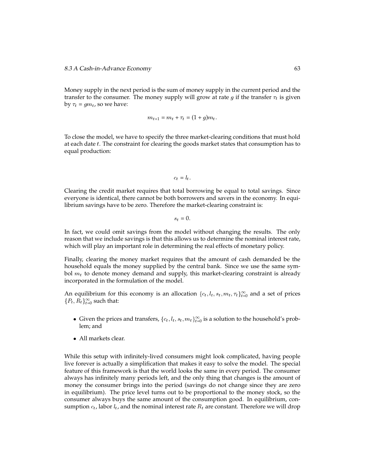Money supply in the next period is the sum of money supply in the current period and the transfer to the consumer. The money supply will grow at rate g if the transfer  $\tau_t$  is given by  $\tau_t = g m_t$ , so we have:

$$
m_{t+1} = m_t + \tau_t = (1+g)m_t.
$$

To close the model, we have to specify the three market-clearing conditions that must hold at each date  $t$ . The constraint for clearing the goods market states that consumption has to equal production:

$$
c_t = l_t.
$$

Clearing the credit market requires that total borrowing be equal to total savings. Since everyone is identical, there cannot be both borrowers and savers in the economy. In equilibrium savings have to be zero. Therefore the market-clearing constraint is:

 $s_t = 0$ .

In fact, we could omit savings from the model without changing the results. The only reason that we include savings is that this allows us to determine the nominal interest rate, which will play an important role in determining the real effects of monetary policy.

Finally, clearing the money market requires that the amount of cash demanded be the household equals the money supplied by the central bank. Since we use the same symbol  $m_t$  to denote money demand and supply, this market-clearing constraint is already incorporated in the formulation of the model.

An equilibrium for this economy is an allocation  $\{c_t, l_t, s_t, m_t, \tau_t\}_{t=0}^\infty$  and a set of prices  $\{P_t, R_t\}_{t=0}^\infty$  such that:

- Given the prices and transfers,  $\{c_t, l_t, s_t, m_t\}_{t=0}^{\infty}$  is a solution to the household's problem; and
- All markets clear.

While this setup with infinitely-lived consumers might look complicated, having people live forever is actually a simplification that makes it easy to solve the model. The special feature of this framework is that the world looks the same in every period. The consumer always has infinitely many periods left, and the only thing that changes is the amount of money the consumer brings into the period (savings do not change since they are zero in equilibrium). The price level turns out to be proportional to the money stock, so the consumer always buys the same amount of the consumption good. In equilibrium, consumption  $c_t$ , labor  $l_t$ , and the nominal interest rate  $R_t$  are constant. Therefore we will drop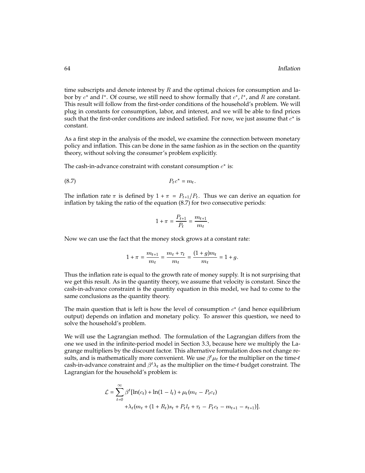time subscripts and denote interest by  $R$  and the optimal choices for consumption and labor by  $c^*$  and  $l^*$ . Of course, we still need to show formally that  $c^*$ ,  $l^*$ , and R are constant. This result will follow from the first-order conditions of the household's problem. We will plug in constants for consumption, labor, and interest, and we will be able to find prices such that the first-order conditions are indeed satisfied. For now, we just assume that  $c^\star$  is constant.

As a first step in the analysis of the model, we examine the connection between monetary policy and inflation. This can be done in the same fashion as in the section on the quantity theory, without solving the consumer's problem explicitly.

The cash-in-advance constraint with constant consumption  $c^\star$  is:

$$
(8.7) \t\t\t P_t c^* = m_t.
$$

The inflation rate  $\pi$  is defined by  $1 + \pi = P_{t+1}/P_t$ . Thus we can derive an equation for inflation by taking the ratio of the equation (8.7) for two consecutive periods:

$$
1 + \pi = \frac{P_{t+1}}{P_t} = \frac{m_{t+1}}{m_t}.
$$

Now we can use the fact that the money stock grows at a constant rate:

$$
1 + \pi = \frac{m_{t+1}}{m_t} = \frac{m_t + \tau_t}{m_t} = \frac{(1+g)m_t}{m_t} = 1 + g.
$$

Thus the inflation rate is equal to the growth rate of money supply. It is not surprising that we get this result. As in the quantity theory, we assume that velocity is constant. Since the cash-in-advance constraint is the quantity equation in this model, we had to come to the same conclusions as the quantity theory.

The main question that is left is how the level of consumption  $c^*$  (and hence equilibrium output) depends on inflation and monetary policy. To answer this question, we need to solve the household's problem.

We will use the Lagrangian method. The formulation of the Lagrangian differs from the one we used in the infinite-period model in Section 3.3, because here we multiply the Lagrange multipliers by the discount factor. This alternative formulation does not change results, and is mathematically more convenient. We use  $\beta^t\mu_t$  for the multiplier on the time-t cash-in-advance constraint and  $\beta^t \lambda_t$  as the multiplier on the time-t budget constraint. The Lagrangian for the household's problem is:

$$
\mathcal{L} = \sum_{t=0}^{\infty} \beta^{t} [\ln(c_{t}) + \ln(1 - l_{t}) + \mu_{t}(m_{t} - P_{t}c_{t}) + \lambda_{t}(m_{t} + (1 + R_{t})s_{t} + P_{t}l_{t} + \tau_{t} - P_{t}c_{t} - m_{t+1} - s_{t+1})].
$$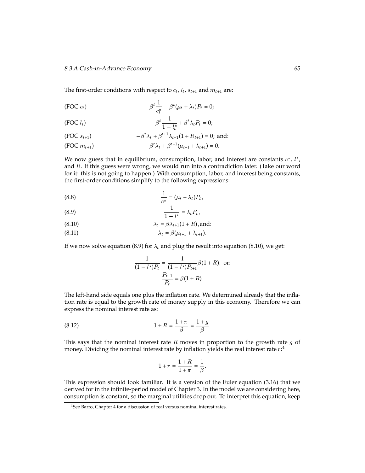#### 8.3 <sup>A</sup> Cash-in-Advance Economy 65

The first-order conditions with respect to  $c_t$ ,  $l_t$ ,  $s_{t+1}$  and  $m_{t+1}$  are:

(FOC 
$$
c_t
$$
) 
$$
\beta^t \frac{1}{c_t^*} - \beta^t (\mu_t + \lambda_t) P_t = 0;
$$

(FOC 
$$
l_t
$$
) 
$$
-\beta^t \frac{1}{1-l_t^*} + \beta^t \lambda_t P_t = 0;
$$

(FOC 
$$
s_{t+1}
$$
) 
$$
-\beta^t \lambda_t + \beta^{t+1} \lambda_{t+1} (1 + R_{t+1}) = 0; \text{ and:}
$$

(FOC 
$$
m_{t+1}
$$
) 
$$
-\beta^t \lambda_t + \beta^{t+1} (\mu_{t+1} + \lambda_{t+1}) = 0.
$$

We now guess that in equilibrium, consumption, labor, and interest are constants  $c^*$ ,  $l^*$ , and  $R$ . If this guess were wrong, we would run into a contradiction later. (Take our word for it: this is not going to happen.) With consumption, labor, and interest being constants, the first-order conditions simplify to the following expressions:

$$
\frac{1}{c^*} = (\mu_t + \lambda_t) P_t,
$$

$$
\frac{1}{1 - l^*} = \lambda_t P_t,
$$

$$
\lambda_t = \beta \lambda_{t+1} (1+R), \text{and:}
$$

$$
\lambda_t = \beta(\mu_{t+1} + \lambda_{t+1}).
$$

If we now solve equation (8.9) for  $\lambda_t$  and plug the result into equation (8.10), we get:

$$
\frac{1}{(1 - l^*)P_t} = \frac{1}{(1 - l^*)P_{t+1}} \beta(1 + R), \text{ or:}
$$

$$
\frac{P_{t+1}}{P_t} = \beta(1 + R).
$$

The left-hand side equals one plus the inflation rate. We determined already that the inflation rate is equal to the growth rate of money supply in this economy. Therefore we can express the nominal interest rate as:

(8.12) 
$$
1 + R = \frac{1 + \pi}{\beta} = \frac{1 + g}{\beta}.
$$

This says that the nominal interest rate  $R$  moves in proportion to the growth rate  $g$  of money. Dividing the nominal interest rate by inflation yields the real interest rate  $r.^4$ 

$$
1 + r = \frac{1 + R}{1 + \pi} = \frac{1}{\beta}.
$$

This expression should look familiar. It is a version of the Euler equation (3.16) that we derived for in the infinite-period model of Chapter 3. In the model we are considering here, consumption is constant, so the marginal utilities drop out. To interpret this equation, keep

<sup>4</sup>See Barro, Chapter 4 for a discussion of real versus nominal interest rates.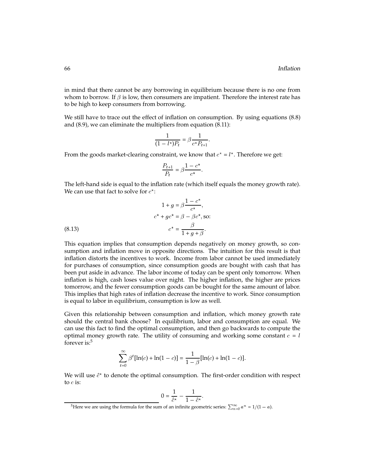in mind that there cannot be any borrowing in equilibrium because there is no one from whom to borrow. If  $\beta$  is low, then consumers are impatient. Therefore the interest rate has to be high to keep consumers from borrowing.

We still have to trace out the effect of inflation on consumption. By using equations (8.8) and (8.9), we can eliminate the multipliers from equation (8.11):

$$
\frac{1}{(1-l^*)P_t} = \beta \frac{1}{c^*P_{t+1}}.
$$

From the goods market-clearing constraint, we know that  $c^{\star} = l^{\star}$ . Therefore we get:

$$
\frac{P_{t+1}}{P_t} = \beta \frac{1 - c^*}{c^*}.
$$

The left-hand side is equal to the inflation rate (which itself equals the money growth rate). We can use that fact to solve for  $c^\star\!\!$  :

(8.13) 
$$
1 + g = \beta \frac{1 - c^{*}}{c^{*}},
$$

$$
c^{*} + gc^{*} = \beta - \beta c^{*}, \text{so:}
$$

$$
c^{*} = \frac{\beta}{1 + g + \beta}.
$$

This equation implies that consumption depends negatively on money growth, so consumption and inflation move in opposite directions. The intuition for this result is that inflation distorts the incentives to work. Income from labor cannot be used immediately for purchases of consumption, since consumption goods are bought with cash that has been put aside in advance. The labor income of today can be spent only tomorrow. When inflation is high, cash loses value over night. The higher inflation, the higher are prices tomorrow, and the fewer consumption goods can be bought for the same amount of labor. This implies that high rates of inflation decrease the incentive to work. Since consumption is equal to labor in equilibrium, consumption is low as well.

Given this relationship between consumption and inflation, which money growth rate should the central bank choose? In equilibrium, labor and consumption are equal. We can use this fact to find the optimal consumption, and then go backwards to compute the optimal money growth rate. The utility of consuming and working some constant  $c = l$ forever is:<sup>5</sup>

$$
\sum_{t=0}^{\infty} \beta^{t} [\ln(c) + \ln(1-c)] = \frac{1}{1-\beta} [\ln(c) + \ln(1-c)].
$$

We will use  $\hat{c}^\star$  to denote the optimal consumption. The first-order condition with respect to <sup>c</sup> is:

$$
0=\frac{1}{\hat{c}^{\star}}-\frac{1}{1-\hat{c}^{\star}}.
$$

<sup>&</sup>lt;sup>5</sup>Here we are using the formula for the sum of an infinite geometric series:  $\sum_{n=0}^{\infty} a^n = 1/(1 - a)$ .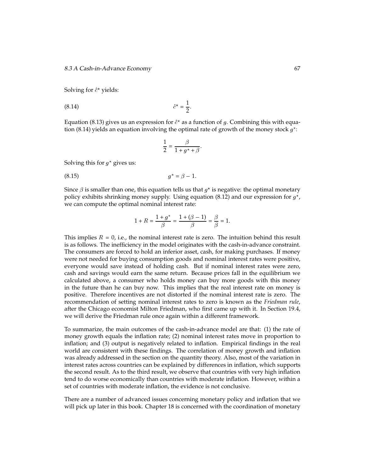#### 8.3 A Cash-in-Advance Economy 67

Solving for  $\hat{c}^\star$  yields:

$$
\hat{c}^* = \frac{1}{2}.
$$

Equation (8.13) gives us an expression for  $\hat{c}^\star$  as a function of  $g.$  Combining this with equation (8.14) yields an equation involving the optimal rate of growth of the money stock  $g^*$ :

$$
\frac{1}{2} = \frac{\beta}{1 + g^* + \beta}.
$$

Solving this for  $g^{\star}$  gives us:

$$
(8.15) \t\t\t g^* = \beta - 1.
$$

Since  $\beta$  is smaller than one, this equation tells us that  $g^\star$  is negative: the optimal monetary policy exhibits shrinking money supply. Using equation (8.12) and our expression for  $g^{\star}$ , we can compute the optimal nominal interest rate:

$$
1 + R = \frac{1 + g^*}{\beta} = \frac{1 + (\beta - 1)}{\beta} = \frac{\beta}{\beta} = 1.
$$

This implies  $R = 0$ , i.e., the nominal interest rate is zero. The intuition behind this result is as follows. The inefficiency in the model originates with the cash-in-advance constraint. The consumers are forced to hold an inferior asset, cash, for making purchases. If money were not needed for buying consumption goods and nominal interest rates were positive, everyone would save instead of holding cash. But if nominal interest rates were zero, cash and savings would earn the same return. Because prices fall in the equilibrium we calculated above, a consumer who holds money can buy more goods with this money in the future than he can buy now. This implies that the real interest rate on money is positive. Therefore incentives are not distorted if the nominal interest rate is zero. The recommendation of setting nominal interest rates to zero is known as the *Friedman rule*, after the Chicago economist Milton Friedman, who first came up with it. In Section 19.4, we will derive the Friedman rule once again within a different framework.

To summarize, the main outcomes of the cash-in-advance model are that: (1) the rate of money growth equals the inflation rate; (2) nominal interest rates move in proportion to inflation; and (3) output is negatively related to inflation. Empirical findings in the real world are consistent with these findings. The correlation of money growth and inflation was already addressed in the section on the quantity theory. Also, most of the variation in interest rates across countries can be explained by differences in inflation, which supports the second result. As to the third result, we observe that countries with very high inflation tend to do worse economically than countries with moderate inflation. However, within a set of countries with moderate inflation, the evidence is not conclusive.

There are a number of advanced issues concerning monetary policy and inflation that we will pick up later in this book. Chapter 18 is concerned with the coordination of monetary